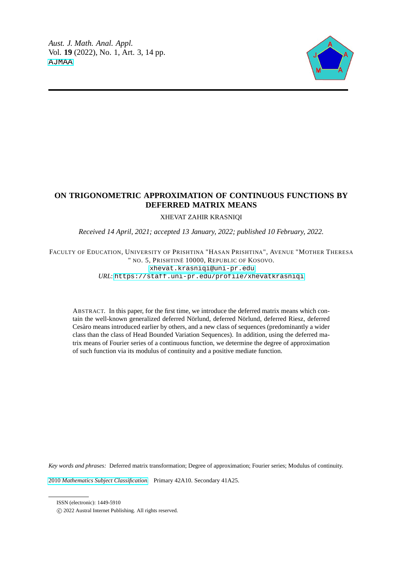

# **ON TRIGONOMETRIC APPROXIMATION OF CONTINUOUS FUNCTIONS BY DEFERRED MATRIX MEANS**

#### XHEVAT ZAHIR KRASNIQI

*Received 14 April, 2021; accepted 13 January, 2022; published 10 February, 2022.*

### FACULTY OF EDUCATION, UNIVERSITY OF PRISHTINA "HASAN PRISHTINA", AVENUE "MOTHER THERESA " NO. 5, PRISHTINË 10000, REPUBLIC OF KOSOVO. [xhevat.krasniqi@uni-pr.edu](mailto: Author <xhevat.krasniqi@uni-pr.edu>) *URL*: <https://staff.uni-pr.edu/profile/xhevatkrasniqi>

ABSTRACT. In this paper, for the first time, we introduce the deferred matrix means which contain the well-known generalized deferred Nörlund, deferred Nörlund, deferred Riesz, deferred Cesàro means introduced earlier by others, and a new class of sequences (predominantly a wider class than the class of Head Bounded Variation Sequences). In addition, using the deferred matrix means of Fourier series of a continuous function, we determine the degree of approximation of such function via its modulus of continuity and a positive mediate function.

*Key words and phrases:* Deferred matrix transformation; Degree of approximation; Fourier series; Modulus of continuity.

2010 *[Mathematics Subject Classification.](https://www.ams.org/msc/)* Primary 42A10. Secondary 41A25.

ISSN (electronic): 1449-5910

c 2022 Austral Internet Publishing. All rights reserved.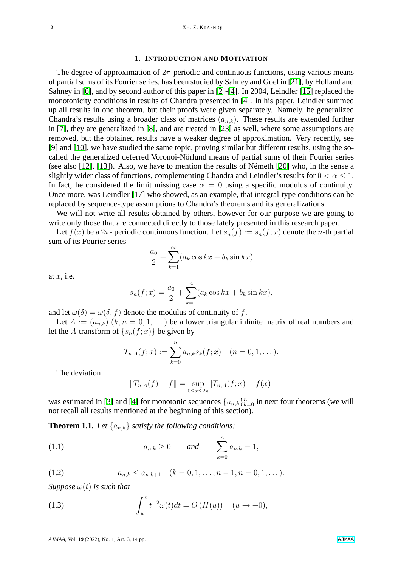#### 1. **INTRODUCTION AND MOTIVATION**

The degree of approximation of  $2\pi$ -periodic and continuous functions, using various means of partial sums of its Fourier series, has been studied by Sahney and Goel in [\[21\]](#page-13-0), by Holland and Sahney in [\[6\]](#page-12-0), and by second author of this paper in [\[2\]](#page-12-1)-[\[4\]](#page-12-2). In 2004, Leindler [\[15\]](#page-12-3) replaced the monotonicity conditions in results of Chandra presented in [\[4\]](#page-12-2). In his paper, Leindler summed up all results in one theorem, but their proofs were given separately. Namely, he generalized Chandra's results using a broader class of matrices  $(a_{n,k})$ . These results are extended further in [\[7\]](#page-12-4), they are generalized in [\[8\]](#page-12-5), and are treated in [\[23\]](#page-13-1) as well, where some assumptions are removed, but the obtained results have a weaker degree of approximation. Very recently, see [\[9\]](#page-12-6) and [\[10\]](#page-12-7), we have studied the same topic, proving similar but different results, using the socalled the generalized deferred Voronoi-Nörlund means of partial sums of their Fourier series (see also [\[12\]](#page-12-8), [\[13\]](#page-12-9)). Also, we have to mention the results of Németh [\[20\]](#page-13-2) who, in the sense a slightly wider class of functions, complementing Chandra and Leindler's results for  $0 < \alpha \leq 1$ . In fact, he considered the limit missing case  $\alpha = 0$  using a specific modulus of continuity. Once more, was Leindler [\[17\]](#page-13-3) who showed, as an example, that integral-type conditions can be replaced by sequence-type assumptions to Chandra's theorems and its generalizations.

We will not write all results obtained by others, however for our purpose we are going to write only those that are connected directly to those lately presented in this research paper.

Let  $f(x)$  be a  $2\pi$ - periodic continuous function. Let  $s_n(f) := s_n(f; x)$  denote the *n*-th partial sum of its Fourier series

$$
\frac{a_0}{2} + \sum_{k=1}^{\infty} (a_k \cos kx + b_k \sin kx)
$$

at  $x$ , i.e.

$$
s_n(f; x) = \frac{a_0}{2} + \sum_{k=1}^n (a_k \cos kx + b_k \sin kx),
$$

and let  $\omega(\delta) = \omega(\delta, f)$  denote the modulus of continuity of f.

Let  $A := (a_{n,k})$   $(k, n = 0, 1, ...)$  be a lower triangular infinite matrix of real numbers and let the A-transform of  $\{s_n(f; x)\}\$  be given by

$$
T_{n,A}(f;x) := \sum_{k=0}^{n} a_{n,k} s_k(f;x) \quad (n = 0,1,\dots).
$$

The deviation

<span id="page-1-0"></span>
$$
||T_{n,A}(f) - f|| = \sup_{0 \le x \le 2\pi} |T_{n,A}(f;x) - f(x)|
$$

was estimated in [\[3\]](#page-12-10) and [\[4\]](#page-12-2) for monotonic sequences  $\{a_{n,k}\}_{k=0}^n$  in next four theorems (we will not recall all results mentioned at the beginning of this section).

<span id="page-1-3"></span>**Theorem 1.1.** Let  $\{a_{n,k}\}\$  *satisfy the following conditions:* 

(1.1) 
$$
a_{n,k} \ge 0
$$
 and  $\sum_{k=0}^{n} a_{n,k} = 1$ ,

<span id="page-1-1"></span>(1.2) 
$$
a_{n,k} \le a_{n,k+1} \quad (k = 0, 1, \dots, n-1; n = 0, 1, \dots).
$$

*Suppose*  $\omega(t)$  *is such that* 

<span id="page-1-2"></span>(1.3) 
$$
\int_{u}^{\pi} t^{-2} \omega(t) dt = O(H(u)) \quad (u \to +0),
$$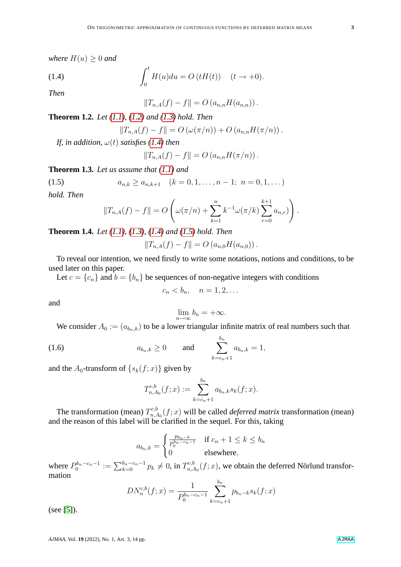*where*  $H(u) \geq 0$  *and* 

(1.4) 
$$
\int_0^t H(u)du = O(tH(t)) \quad (t \to +0).
$$

*Then*

<span id="page-2-1"></span><span id="page-2-0"></span>
$$
||T_{n,A}(f) - f|| = O(a_{n,n}H(a_{n,n})).
$$

**Theorem 1.2.** *Let [\(1.1\)](#page-1-0), [\(1.2\)](#page-1-1) and [\(1.3\)](#page-1-2) hold. Then*

$$
||T_{n,A}(f) - f|| = O\left(\omega(\pi/n)\right) + O\left(a_{n,n}H(\pi/n)\right).
$$

*If, in addition,*  $\omega(t)$  *satisfies* [\(1.4\)](#page-2-0) *then* 

$$
||T_{n,A}(f) - f|| = O(a_{n,n}H(\pi/n)).
$$

**Theorem 1.3.** *Let us assume that [\(1.1\)](#page-1-0) and*

(1.5) 
$$
a_{n,k} \ge a_{n,k+1} \quad (k = 0, 1, \dots, n-1; n = 0, 1, \dots)
$$

*hold. Then*

<span id="page-2-3"></span>
$$
||T_{n,A}(f) - f|| = O\left(\omega(\pi/n) + \sum_{k=1}^n k^{-1} \omega(\pi/k) \sum_{r=0}^{k+1} a_{n,r}\right).
$$

<span id="page-2-2"></span>**Theorem 1.4.** *Let [\(1.1\)](#page-1-0), [\(1.3\)](#page-1-2), [\(1.4\)](#page-2-0) and [\(1.5\)](#page-2-1) hold. Then*

$$
||T_{n,A}(f) - f|| = O(a_{n,0}H(a_{n,0})).
$$

To reveal our intention, we need firstly to write some notations, notions and conditions, to be used later on this paper.

Let  $c = \{c_n\}$  and  $b = \{b_n\}$  be sequences of non-negative integers with conditions

$$
c_n < b_n, \quad n = 1, 2, \dots
$$

and

$$
\lim_{n \to \infty} b_n = +\infty.
$$

We consider  $A_0 := (a_{b_n,k})$  to be a lower triangular infinite matrix of real numbers such that

(1.6) 
$$
a_{b_n,k} \ge 0
$$
 and  $\sum_{k=c_n+1}^{b_n} a_{b_n,k} = 1$ ,

and the  $A_0$ -transform of  $\{s_k(f; x)\}\$  given by

$$
T_{n,A_0}^{c,b}(f;x) := \sum_{k=c_n+1}^{b_n} a_{b_n,k} s_k(f;x).
$$

The transformation (mean)  $T^{c,b}_{n,a}$  $n_{n,A_0}^{\text{c},b}(f; x)$  will be called *deferred matrix* transformation (mean) and the reason of this label will be clarified in the sequel. For this, taking

$$
a_{b_n,k} = \begin{cases} \frac{p_{b_n-k}}{P_0^{b_n-c_n-1}} & \text{if } c_n+1 \le k \le b_n\\ 0 & \text{elsewhere,} \end{cases}
$$

where  $P_0^{b_n-c_n-1} := \sum_{k=0}^{b_n-c_n-1} p_k \neq 0$ , in  $T_{n,\lambda}^{c,b}$  $n_{n,A_0}^{\alpha,b}(f;x)$ , we obtain the deferred Nörlund transformation

$$
DN_n^{c,b}(f;x) = \frac{1}{P_0^{b_n-c_n-1}} \sum_{k=c_n+1}^{b_n} p_{b_n-k} s_k(f;x)
$$

(see [\[5\]](#page-12-11)).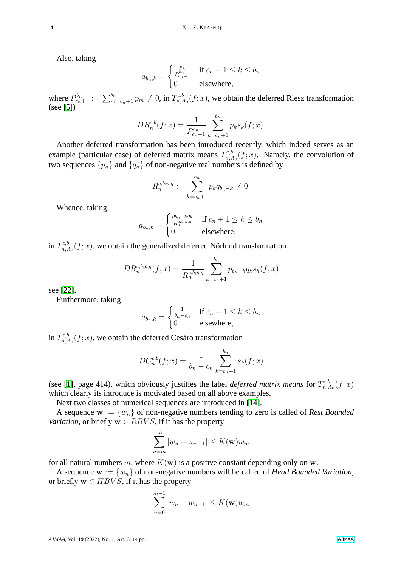Also, taking

$$
a_{b_n,k} = \begin{cases} \frac{p_k}{P_{c_n+1}^{b_n}} & \text{if } c_n+1 \le k \le b_n\\ 0 & \text{elsewhere,} \end{cases}
$$

where  $P_{c_n+1}^{b_n} := \sum_{m=c_n+1}^{b_n} p_m \neq 0$ , in  $T_{n,\lambda}^{c,b}$  $n_{n,A_0}^{\alpha,\delta}(f;x)$ , we obtain the deferred Riesz transformation (see [\[5\]](#page-12-11))

$$
DR_n^{c,b}(f;x) = \frac{1}{P_{c_n+1}^{b_n}} \sum_{k=c_n+1}^{b_n} p_k s_k(f;x).
$$

Another deferred transformation has been introduced recently, which indeed serves as an example (particular case) of deferred matrix means  $T^{c,b}_{n,d}$ <sup>rc,b</sup><sub>n,A<sub>0</sub></sub> $(f; x)$ . Namely, the convolution of two sequences  $\{p_n\}$  and  $\{q_n\}$  of non-negative real numbers is defined by

$$
R_n^{c,b;p,q} := \sum_{k=c_n+1}^{b_n} p_k q_{b_n-k} \neq 0.
$$

Whence, taking

$$
a_{b_n,k} = \begin{cases} \frac{p_{b_n-k}q_k}{R_n^{c,b;p,q}} & \text{if } c_n+1 \le k \le b_n\\ 0 & \text{elsewhere,} \end{cases}
$$

in  $T^{c,b}_{n}$  $n_{n,A_0}^{\infty,0}(f; x)$ , we obtain the generalized deferred Nörlund transformation

$$
DR_n^{c,b;p,q}(f;x) = \frac{1}{R_n^{c,b;p,q}} \sum_{k=c_n+1}^{b_n} p_{b_n-k} q_k s_k(f;x)
$$

see [\[22\]](#page-13-4).

Furthermore, taking

$$
a_{b_n,k} = \begin{cases} \frac{1}{b_n - c_n} & \text{if } c_n + 1 \le k \le b_n \\ 0 & \text{elsewhere,} \end{cases}
$$

in  $T^{c,b}_{n}$  $n_{n,A_0}^{\text{c},b}(f; x)$ , we obtain the deferred Cesàro transformation

$$
DC_n^{c,b}(f;x) = \frac{1}{b_n - c_n} \sum_{k=c_n+1}^{b_n} s_k(f;x)
$$

(see [\[1\]](#page-12-12), page 414), which obviously justifies the label *deferred matrix means* for  $T_{n}^{c,b}$  $_{n,A_0}^{c,o}(f;x)$ which clearly its introduce is motivated based on all above examples.

Next two classes of numerical sequences are introduced in [\[14\]](#page-12-13).

A sequence  $w := \{w_n\}$  of non-negative numbers tending to zero is called of *Rest Bounded Variation*, or briefly  $w \in RBVS$ , if it has the property

$$
\sum_{n=m}^{\infty} |w_n - w_{n+1}| \le K(\mathbf{w})w_m
$$

for all natural numbers m, where  $K(\mathbf{w})$  is a positive constant depending only on w.

A sequence  $w := \{w_n\}$  of non-negative numbers will be called of *Head Bounded Variation*, or briefly  $\mathbf{w} \in HBVS$ , if it has the property

$$
\sum_{n=0}^{m-1} |w_n - w_{n+1}| \le K(\mathbf{w}) w_m
$$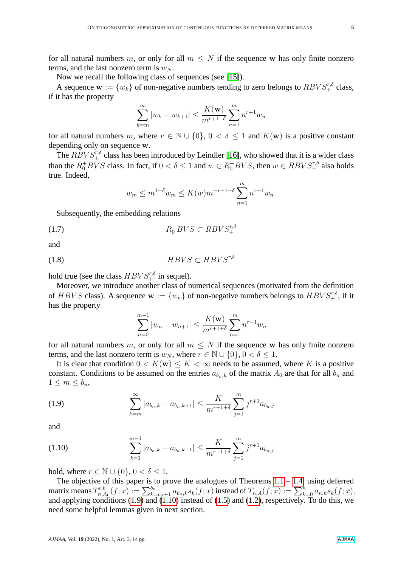for all natural numbers m, or only for all  $m \leq N$  if the sequence w has only finite nonzero terms, and the last nonzero term is  $w_N$ .

Now we recall the following class of sequences (see [\[15\]](#page-12-3)).

A sequence  $\mathbf{w} := \{w_k\}$  of non-negative numbers tending to zero belongs to  $RBVS_+^{r,\delta}$  class, if it has the property

$$
\sum_{k=m}^{\infty} |w_k - w_{k+1}| \le \frac{K(\mathbf{w})}{m^{r+1+\delta}} \sum_{n=1}^{m} n^{r+1} w_n
$$

for all natural numbers m, where  $r \in \mathbb{N} \cup \{0\}$ ,  $0 < \delta \leq 1$  and  $K(\mathbf{w})$  is a positive constant depending only on sequence w.

The  $RBVS^{r,\delta}_{+}$  class has been introduced by Leindler [\[16\]](#page-12-14), who showed that it is a wider class than the  $R_0^+ BVS$  class. In fact, if  $0 < \delta \le 1$  and  $w \in R_0^+ BVS$ , then  $w \in R BVS_+^{r,\delta}$  also holds true. Indeed,

<span id="page-4-3"></span>
$$
w_m \le m^{1-\delta} w_m \le K(w) m^{-r-1-\delta} \sum_{n=1}^m n^{r+1} w_n.
$$

Subsequently, the embedding relations

$$
(1.7)\qquad \qquad R_0^+ BVS \subset R BVS_+^{r,\delta}
$$

and

$$
(1.8)\qquad \qquad HBVS \subset HBVS_+^{r,\delta}
$$

hold true (see the class  $HBVS^{r,\delta}_+$  in sequel).

Moreover, we introduce another class of numerical sequences (motivated from the definition of HBVS class). A sequence  $w := \{w_n\}$  of non-negative numbers belongs to  $HBVS_+^{r,\delta}$ , if it has the property

<span id="page-4-2"></span><span id="page-4-0"></span>
$$
\sum_{n=0}^{m-1} |w_n - w_{n+1}| \le \frac{K(\mathbf{w})}{m^{r+1+\delta}} \sum_{n=1}^m n^{r+1} w_n
$$

for all natural numbers m, or only for all  $m \leq N$  if the sequence w has only finite nonzero terms, and the last nonzero term is  $w_N$ , where  $r \in \mathbb{N} \cup \{0\}$ ,  $0 < \delta \leq 1$ .

It is clear that condition  $0 < K(\mathbf{w}) \leq K < \infty$  needs to be assumed, where K is a positive constant. Conditions to be assumed on the entries  $a_{b_n,k}$  of the matrix  $A_0$  are that for all  $b_n$  and  $1 \le m \le b_n$ 

(1.9) 
$$
\sum_{k=m}^{\infty} |a_{b_n,k} - a_{b_n,k+1}| \leq \frac{K}{m^{r+1+\delta}} \sum_{j=1}^{m} j^{r+1} a_{b_n,j}
$$

and

<span id="page-4-1"></span>(1.10) 
$$
\sum_{k=1}^{m-1} |a_{b_n,k} - a_{b_n,k+1}| \leq \frac{K}{m^{r+1+\delta}} \sum_{j=1}^{m} j^{r+1} a_{b_n,j}
$$

hold, where  $r \in \mathbb{N} \cup \{0\}$ ,  $0 < \delta \leq 1$ .

The objective of this paper is to prove the analogues of Theorems  $1.1 - 1.4$ , using deferred matrix means  $T^{c,b}_{n,c}$  $\hat{h}_{n,A_0}^{c,b}(f;x):=\sum_{k=c_n+1}^{b_n}a_{b_n,k}s_k(f;x)$  instead of  $T_{n,A}(f;x):=\sum_{k=0}^na_{n,k}s_k(f;x),$ and applying conditions [\(1.9\)](#page-4-0) and [\(1.10\)](#page-4-1) instead of [\(1.5\)](#page-2-1) and [\(1.2\)](#page-1-1), respectively. To do this, we need some helpful lemmas given in next section.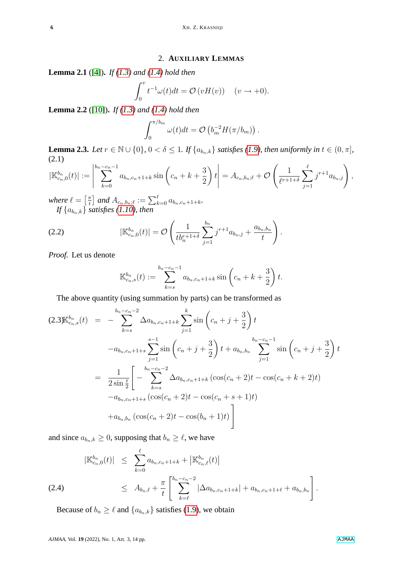## 2. **AUXILIARY LEMMAS**

<span id="page-5-3"></span>**Lemma 2.1** ([\[4\]](#page-12-2))**.** *If [\(1.3\)](#page-1-2) and [\(1.4\)](#page-2-0) hold then*

<span id="page-5-1"></span>
$$
\int_0^v t^{-1} \omega(t) dt = \mathcal{O}(vH(v)) \quad (v \to +0).
$$

<span id="page-5-5"></span>**Lemma 2.2** ([\[10\]](#page-12-7))**.** *If [\(1.3\)](#page-1-2) and [\(1.4\)](#page-2-0) hold then*

$$
\int_0^{\pi/b_m} \omega(t) dt = \mathcal{O}\left(b_m^{-2} H(\pi/b_m)\right).
$$

<span id="page-5-4"></span>**Lemma 2.3.** *Let*  $r \in \mathbb{N} \cup \{0\}$ ,  $0 < \delta \leq 1$ *. If*  $\{a_{b_n,k}\}$  *satisfies [\(1.9\)](#page-4-0), then uniformly in*  $t \in (0, \pi]$ *,* (2.1)

$$
|\mathbb{K}_{c_n,0}^{b_n}(t)| := \left|\sum_{k=0}^{b_n - c_n - 1} a_{b_n, c_n + 1 + k} \sin\left(c_n + k + \frac{3}{2}\right)t\right| = A_{c_n, b_n; \ell} + \mathcal{O}\left(\frac{1}{\ell^{r+1+\delta}} \sum_{j=1}^{\ell} j^{r+1} a_{b_n, j}\right),
$$

*where*  $\ell = \lceil \frac{\pi}{t} \rceil$  $\left[ \frac{\pi}{t} \right]$  and  $A_{c_n,b_n;\ell} := \sum_{k=0}^{\ell} a_{b_n,c_n+1+k}.$ *If* {a<sup>b</sup>n,k} *satisfies [\(1.10\)](#page-4-1), then*

(2.2) 
$$
|\mathbb{K}_{c_n,0}^{b_n}(t)| = \mathcal{O}\left(\frac{1}{tb_n^{r+1+\delta}}\sum_{j=1}^{b_n} j^{r+1}a_{b_n,j} + \frac{a_{b_n,b_n}}{t}\right).
$$

*Proof.* Let us denote

<span id="page-5-2"></span>
$$
\mathbb{K}_{c_n,s}^{b_n}(t) := \sum_{k=s}^{b_n-c_n-1} a_{b_n,c_n+1+k} \sin\left(c_n + k + \frac{3}{2}\right)t.
$$

The above quantity (using summation by parts) can be transformed as

$$
(2.3)K_{c_n,s}^{b_n}(t) = -\sum_{k=s}^{b_n-c_n-2} \Delta a_{b_n,c_n+1+k} \sum_{j=1}^k \sin\left(c_n + j + \frac{3}{2}\right) t
$$
  

$$
-a_{b_n,c_n+1+s} \sum_{j=1}^{s-1} \sin\left(c_n + j + \frac{3}{2}\right) t + a_{b_n,b_n} \sum_{j=1}^{b_n-c_n-1} \sin\left(c_n + j + \frac{3}{2}\right) t
$$
  

$$
= \frac{1}{2\sin\frac{t}{2}} \left[ -\sum_{k=s}^{b_n-c_n-2} \Delta a_{b_n,c_n+1+k} \left(\cos(c_n + 2)t - \cos(c_n + k + 2)t\right) - a_{b_n,c_n+1+s} \left(\cos(c_n + 2)t - \cos(c_n + s + 1)t\right) + a_{b_n,b_n} \left(\cos(c_n + 2)t - \cos(b_n + 1)t\right) \right]
$$

and since  $a_{b_n,k} \geq 0$ , supposing that  $b_n \geq \ell$ , we have

<span id="page-5-0"></span>
$$
|\mathbb{K}_{c_n,0}^{b_n}(t)| \leq \sum_{k=0}^{\ell} a_{b_n,c_n+1+k} + |\mathbb{K}_{c_n,\ell}^{b_n}(t)|
$$
  
(2.4) 
$$
\leq A_{b_n,\ell} + \frac{\pi}{t} \left[ \sum_{k=\ell}^{b_n-c_n-2} |\Delta a_{b_n,c_n+1+k}| + a_{b_n,c_n+1+\ell} + a_{b_n,b_n} \right].
$$

Because of  $b_n \geq \ell$  and  $\{a_{b_n,k}\}\$  satisfies [\(1.9\)](#page-4-0), we obtain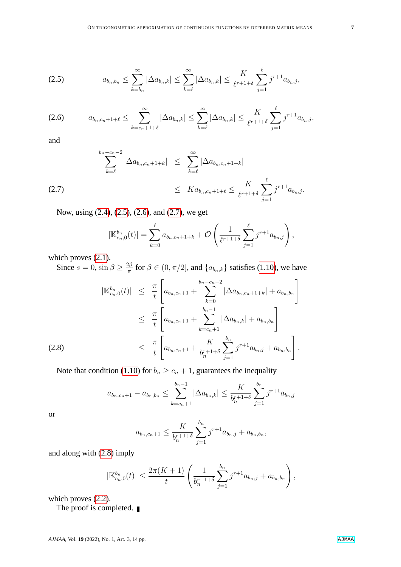<span id="page-6-0"></span>
$$
(2.5) \t a_{b_n,b_n} \leq \sum_{k=b_n}^{\infty} |\Delta a_{b_n,k}| \leq \sum_{k=\ell}^{\infty} |\Delta a_{b_n,k}| \leq \frac{K}{\ell^{r+1+\delta}} \sum_{j=1}^{\ell} j^{r+1} a_{b_n,j},
$$

<span id="page-6-1"></span>
$$
(2.6) \t a_{b_n,c_n+1+\ell} \leq \sum_{k=c_n+1+\ell}^{\infty} |\Delta a_{b_n,k}| \leq \sum_{k=\ell}^{\infty} |\Delta a_{b_n,k}| \leq \frac{K}{\ell^{r+1+\delta}} \sum_{j=1}^{\ell} j^{r+1} a_{b_n,j},
$$

and

<span id="page-6-2"></span>
$$
\sum_{k=\ell}^{b_n-c_n-2} |\Delta a_{b_n,c_n+1+k}| \leq \sum_{k=\ell}^{\infty} |\Delta a_{b_n,c_n+1+k}|
$$
  
(2.7) 
$$
\leq Ka_{b_n,c_n+1+\ell} \leq \frac{K}{\ell^{r+1+\delta}} \sum_{j=1}^{\ell} j^{r+1} a_{b_n,j}.
$$

Now, using [\(2.4\)](#page-5-0), [\(2.5\)](#page-6-0), [\(2.6\)](#page-6-1), and [\(2.7\)](#page-6-2), we get

$$
|\mathbb{K}_{c_n,0}^{b_n}(t)| = \sum_{k=0}^{\ell} a_{b_n,c_n+1+k} + \mathcal{O}\left(\frac{1}{\ell^{r+1+\delta}}\sum_{j=1}^{\ell} j^{r+1} a_{b_n,j}\right),
$$

which proves  $(2.1)$ .

Since  $s = 0$ ,  $\sin \beta \geq \frac{2\beta}{\pi}$  $\frac{2\beta}{\pi}$  for  $\beta \in (0, \pi/2]$ , and  $\{a_{b_n,k}\}$  satisfies [\(1.10\)](#page-4-1), we have

<span id="page-6-3"></span>
$$
|\mathbb{K}_{c_n,0}^{b_n}(t)| \leq \frac{\pi}{t} \left[ a_{b_n,c_{n}+1} + \sum_{k=0}^{b_n-c_n-2} |\Delta a_{b_n,c_{n}+1+k}| + a_{b_n,b_n} \right]
$$
  

$$
\leq \frac{\pi}{t} \left[ a_{b_n,c_{n}+1} + \sum_{k=c_n+1}^{b_n-1} |\Delta a_{b_n,k}| + a_{b_n,b_n} \right]
$$
  
(2.8)  

$$
\leq \frac{\pi}{t} \left[ a_{b_n,c_{n}+1} + \frac{K}{b_n^{r+1+\delta}} \sum_{j=1}^{b_n} j^{r+1} a_{b_n,j} + a_{b_n,b_n} \right].
$$

Note that condition [\(1.10\)](#page-4-1) for  $b_n \geq c_n + 1$ , guarantees the inequality

$$
a_{b_n,c_n+1} - a_{b_n,b_n} \leq \sum_{k=c_n+1}^{b_n-1} |\Delta a_{b_n,k}| \leq \frac{K}{b_n^{r+1+\delta}} \sum_{j=1}^{b_n} j^{r+1} a_{b_n,j}
$$

or

$$
a_{b_n,c_n+1} \leq \frac{K}{b_n^{r+1+\delta}} \sum_{j=1}^{b_n} j^{r+1} a_{b_n,j} + a_{b_n,b_n},
$$

and along with [\(2.8\)](#page-6-3) imply

$$
|\mathbb{K}_{c_n,0}^{b_n}(t)| \leq \frac{2\pi (K+1)}{t} \left( \frac{1}{b_n^{r+1+\delta}} \sum_{j=1}^{b_n} j^{r+1} a_{b_n,j} + a_{b_n,b_n} \right),
$$

which proves  $(2.2)$ .

The proof is completed.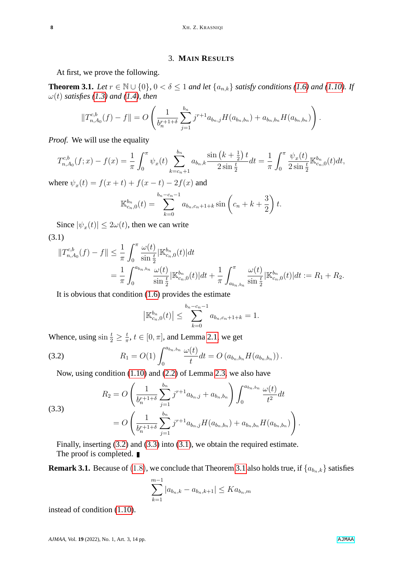## 3. **MAIN RESULTS**

At first, we prove the following.

<span id="page-7-3"></span>**Theorem 3.1.** *Let*  $r \in \mathbb{N} \cup \{0\}$ ,  $0 < \delta \leq 1$  *and let*  $\{a_{n,k}\}$  *satisfy conditions [\(1.6\)](#page-2-3) and [\(1.10\)](#page-4-1). If*  $\omega(t)$  *satisfies* [\(1.3\)](#page-1-2) and [\(1.4\)](#page-2-0), then

<span id="page-7-2"></span>
$$
||T_{n,A_0}^{c,b}(f) - f|| = O\left(\frac{1}{b_n^{r+1+\delta}}\sum_{j=1}^{b_n} j^{r+1} a_{b_n,j} H(a_{b_n,b_n}) + a_{b_n,b_n} H(a_{b_n,b_n})\right).
$$

*Proof.* We will use the equality

$$
T_{n,A_0}^{c,b}(f;x) - f(x) = \frac{1}{\pi} \int_0^{\pi} \psi_x(t) \sum_{k=c_n+1}^{b_n} a_{b_n,k} \frac{\sin\left(k + \frac{1}{2}\right)t}{2\sin\frac{t}{2}} dt = \frac{1}{\pi} \int_0^{\pi} \frac{\psi_x(t)}{2\sin\frac{t}{2}} \mathbb{K}_{c_n,0}^{b_n}(t) dt,
$$

where  $\psi_x(t) = f(x + t) + f(x - t) - 2f(x)$  and

$$
\mathbb{K}_{c_n,0}^{b_n}(t) = \sum_{k=0}^{b_n - c_n - 1} a_{b_n, c_n + 1 + k} \sin\left(c_n + k + \frac{3}{2}\right)t.
$$

Since  $|\psi_x(t)| \leq 2\omega(t)$ , then we can write (3.1)

$$
\begin{split} \|T_{n,A_0}^{c,b}(f) - f\| &\leq \frac{1}{\pi} \int_0^\pi \frac{\omega(t)}{\sin\frac{t}{2}} |\mathbb{K}_{c_n,0}^{b_n}(t)| dt \\ &= \frac{1}{\pi} \int_0^{a_{b_n,b_n}} \frac{\omega(t)}{\sin\frac{t}{2}} |\mathbb{K}_{c_n,0}^{b_n}(t)| dt + \frac{1}{\pi} \int_{a_{b_n,b_n}}^\pi \frac{\omega(t)}{\sin\frac{t}{2}} |\mathbb{K}_{c_n,0}^{b_n}(t)| dt := R_1 + R_2. \end{split}
$$

It is obvious that condition [\(1.6\)](#page-2-3) provides the estimate

<span id="page-7-0"></span>
$$
\left| \mathbb{K}_{c_n,0}^{b_n}(t) \right| \leq \sum_{k=0}^{b_n - c_n - 1} a_{b_n,c_n + 1 + k} = 1.
$$

Whence, using  $\sin \frac{t}{2} \geq \frac{t}{\pi}$  $\frac{t}{\pi}, t \in [0, \pi],$  and Lemma [2.1,](#page-5-3) we get

(3.2) 
$$
R_1 = O(1) \int_0^{a_{b_n,b_n}} \frac{\omega(t)}{t} dt = O(a_{b_n,b_n} H(a_{b_n,b_n})).
$$

Now, using condition [\(1.10\)](#page-4-1) and [\(2.2\)](#page-5-2) of Lemma [2.3,](#page-5-4) we also have

<span id="page-7-1"></span>(3.3)  

$$
R_2 = O\left(\frac{1}{b_n^{r+1+\delta}} \sum_{j=1}^{b_n} j^{r+1} a_{b_n,j} + a_{b_n,b_n}\right) \int_0^{a_{b_n,b_n}} \frac{\omega(t)}{t^2} dt
$$

$$
= O\left(\frac{1}{b_n^{r+1+\delta}} \sum_{j=1}^{b_n} j^{r+1} a_{b_n,j} H(a_{b_n,b_n}) + a_{b_n,b_n} H(a_{b_n,b_n})\right).
$$

Finally, inserting [\(3.2\)](#page-7-0) and [\(3.3\)](#page-7-1) into [\(3.1\)](#page-7-2), we obtain the required estimate. The proof is completed. ■

**Remark [3.1](#page-7-3).** Because of [\(1](#page-4-2).8), we conclude that Theorem 3.1 also holds true, if  $\{a_{b_n,k}\}$  satisfies

$$
\sum_{k=1}^{m-1} |a_{b_n,k} - a_{b_n,k+1}| \le Ka_{b_n,m}
$$

instead of condition [\(1.10\)](#page-4-1).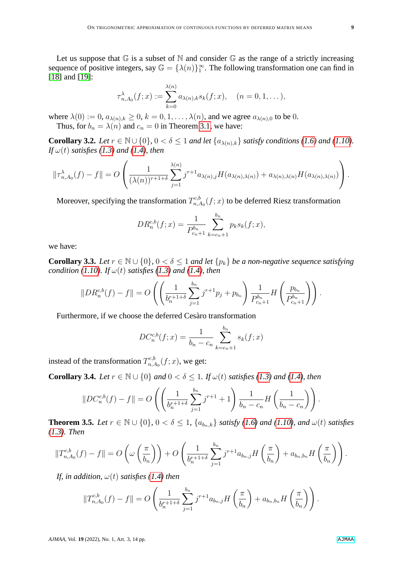Let us suppose that  $G$  is a subset of  $N$  and consider  $G$  as the range of a strictly increasing sequence of positive integers, say  $\mathbb{G} = {\lambda(n)}_1^{\infty}$ . The following transformation one can find in [\[18\]](#page-13-5) and [\[19\]](#page-13-6):

$$
\tau_{n,A_0}^{\lambda}(f;x) := \sum_{k=0}^{\lambda(n)} a_{\lambda(n),k} s_k(f;x), \quad (n=0,1,\ldots),
$$

where  $\lambda(0) := 0$ ,  $a_{\lambda(n),k} \geq 0$ ,  $k = 0, 1, \ldots, \lambda(n)$ , and we agree  $a_{\lambda(n),0}$  to be 0. Thus, for  $b_n = \lambda(n)$  and  $c_n = 0$  in Theorem [3.1,](#page-7-3) we have:

**Corollary 3.2.** *Let*  $r \in \mathbb{N} \cup \{0\}$ ,  $0 < \delta \leq 1$  *and let*  $\{a_{\lambda(n),k}\}$  *satisfy conditions* [\(1.6\)](#page-2-3) *and* [\(1.10\)](#page-4-1)*. If*  $\omega(t)$  *satisfies* [\(1.3\)](#page-1-2) *and* [\(1.4\)](#page-2-0)*, then* 

<span id="page-8-0"></span>
$$
\|\tau_{n,A_0}^{\lambda}(f)-f\|=O\left(\frac{1}{(\lambda(n))^{r+1+\delta}}\sum_{j=1}^{\lambda(n)}j^{r+1}a_{\lambda(n),j}H(a_{\lambda(n),\lambda(n)})+a_{\lambda(n),\lambda(n)}H(a_{\lambda(n),\lambda(n)})\right).
$$

Moreover, specifying the transformation  $T^{c,b}_{n,a}$  $n_{n,A_0}^{\alpha,\delta}(f;x)$  to be deferred Riesz transformation

$$
DR_n^{c,b}(f;x) = \frac{1}{P_{c_n+1}^{b_n}} \sum_{k=c_n+1}^{b_n} p_k s_k(f;x),
$$

we have:

**Corollary 3.3.** *Let*  $r \in \mathbb{N} \cup \{0\}$ ,  $0 < \delta \leq 1$  *and let*  $\{p_k\}$  *be a non-negative sequence satisfying condition* [\(1.10\)](#page-4-1)*.* If  $\omega(t)$  *satisfies* [\(1.3\)](#page-1-2) *and* [\(1.4\)](#page-2-0)*, then* 

$$
||DR_n^{c,b}(f) - f|| = O\left(\left(\frac{1}{b_n^{r+1+\delta}}\sum_{j=1}^{b_n} j^{r+1}p_j + p_{b_n}\right) \frac{1}{P_{c_n+1}^{b_n}} H\left(\frac{p_{b_n}}{P_{c_n+1}^{b_n}}\right)\right).
$$

Furthermore, if we choose the deferred Cesàro transformation

$$
DC_n^{c,b}(f;x) = \frac{1}{b_n - c_n} \sum_{k=c_n+1}^{b_n} s_k(f;x)
$$

instead of the transformation  $T^{c,b}_{n,k}$  $n_{n,A_0}^{\alpha, b}(f; x)$ , we get:

**Corollary 3.4.** *Let*  $r \in \mathbb{N} \cup \{0\}$  *and*  $0 < \delta \leq 1$ *. If*  $\omega(t)$  *satisfies* [\(1.3\)](#page-1-2) *and* [\(1.4\)](#page-2-0)*, then* 

$$
||DC_n^{c,b}(f) - f|| = O\left(\left(\frac{1}{b_n^{r+1+\delta}}\sum_{j=1}^{b_n} j^{r+1} + 1\right)\frac{1}{b_n - c_n}H\left(\frac{1}{b_n - c_n}\right)\right).
$$

<span id="page-8-1"></span>**Theorem 3.5.** *Let*  $r \in \mathbb{N} \cup \{0\}$ ,  $0 < \delta \leq 1$ ,  $\{a_{b_n,k}\}$  *satisfy* [\(1.6\)](#page-2-3) *and* [\(1.10\)](#page-4-1)*, and*  $\omega(t)$  *satisfies [\(1.3\)](#page-1-2). Then*

$$
||T_{n,A_0}^{c,b}(f) - f|| = O\left(\omega\left(\frac{\pi}{b_n}\right)\right) + O\left(\frac{1}{b_n^{r+1+\delta}}\sum_{j=1}^{b_n} j^{r+1} a_{b_n,j} H\left(\frac{\pi}{b_n}\right) + a_{b_n,b_n} H\left(\frac{\pi}{b_n}\right)\right).
$$

*If, in addition,*  $\omega(t)$  *satisfies* [\(1.4\)](#page-2-0) *then* 

$$
||T_{n,A_0}^{c,b}(f) - f|| = O\left(\frac{1}{b_n^{r+1+\delta}} \sum_{j=1}^{b_n} j^{r+1} a_{b_n,j} H\left(\frac{\pi}{b_n}\right) + a_{b_n,b_n} H\left(\frac{\pi}{b_n}\right)\right).
$$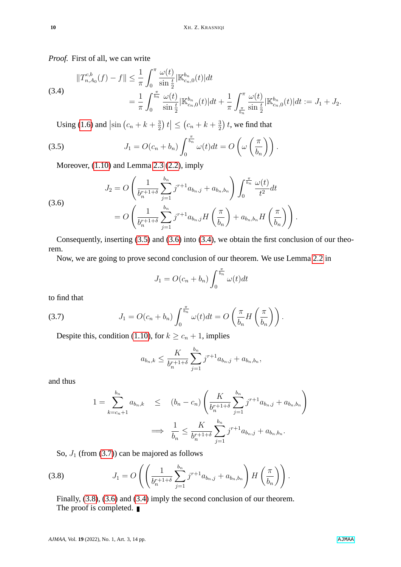*Proof.* First of all, we can write

$$
\begin{split} \|T_{n,A_0}^{c,b}(f) - f\| &\leq \frac{1}{\pi} \int_0^\pi \frac{\omega(t)}{\sin\frac{t}{2}} |\mathbb{K}_{c_n,0}^{b_n}(t)| dt \\ &= \frac{1}{\pi} \int_0^{\frac{\pi}{b_n}} \frac{\omega(t)}{\sin\frac{t}{2}} |\mathbb{K}_{c_n,0}^{b_n}(t)| dt + \frac{1}{\pi} \int_{\frac{\pi}{b_n}}^\pi \frac{\omega(t)}{\sin\frac{t}{2}} |\mathbb{K}_{c_n,0}^{b_n}(t)| dt := J_1 + J_2. \end{split}
$$

<span id="page-9-0"></span>Using [\(1.6\)](#page-2-3) and  $\left|\sin\left(c_n + k + \frac{3}{2}\right)\right|$  $\left| \frac{3}{2} \right) t \right| \leq (c_n + k + \frac{3}{2})$  $\frac{3}{2}$ ) t, we find that

(3.5) 
$$
J_1 = O(c_n + b_n) \int_0^{\frac{\pi}{b_n}} \omega(t) dt = O\left(\omega\left(\frac{\pi}{b_n}\right)\right).
$$

Moreover, [\(1.10\)](#page-4-1) and Lemma [2.3](#page-5-4) [\(2.2\)](#page-5-2), imply

<span id="page-9-1"></span>(3.6)  

$$
J_2 = O\left(\frac{1}{b_n^{r+1+\delta}} \sum_{j=1}^{b_n} j^{r+1} a_{b_n,j} + a_{b_n,b_n}\right) \int_0^{\frac{\pi}{b_n}} \frac{\omega(t)}{t^2} dt
$$

$$
= O\left(\frac{1}{b_n^{r+1+\delta}} \sum_{j=1}^{b_n} j^{r+1} a_{b_n,j} H\left(\frac{\pi}{b_n}\right) + a_{b_n,b_n} H\left(\frac{\pi}{b_n}\right)\right).
$$

Consequently, inserting [\(3.5\)](#page-9-0) and [\(3.6\)](#page-9-1) into [\(3.4\)](#page-8-0), we obtain the first conclusion of our theorem.

Now, we are going to prove second conclusion of our theorem. We use Lemma [2.2](#page-5-5) in

$$
J_1 = O(c_n + b_n) \int_0^{\frac{\pi}{b_n}} \omega(t) dt
$$

to find that

(3.7) 
$$
J_1 = O(c_n + b_n) \int_0^{\frac{\pi}{b_n}} \omega(t) dt = O\left(\frac{\pi}{b_n} H\left(\frac{\pi}{b_n}\right)\right).
$$

Despite this, condition [\(1.10\)](#page-4-1), for  $k \geq c_n + 1$ , implies

<span id="page-9-2"></span>
$$
a_{b_n,k} \leq \frac{K}{b_n^{r+1+\delta}} \sum_{j=1}^{b_n} j^{r+1} a_{b_n,j} + a_{b_n,b_n},
$$

and thus

$$
1 = \sum_{k=c_n+1}^{b_n} a_{b_n,k} \le (b_n - c_n) \left( \frac{K}{b_n^{r+1+\delta}} \sum_{j=1}^{b_n} j^{r+1} a_{b_n,j} + a_{b_n,b_n} \right)
$$
  

$$
\implies \frac{1}{b_n} \le \frac{K}{b_n^{r+1+\delta}} \sum_{j=1}^{b_n} j^{r+1} a_{b_n,j} + a_{b_n,b_n}.
$$

<span id="page-9-3"></span>So,  $J_1$  (from [\(3.7\)](#page-9-2)) can be majored as follows

(3.8) 
$$
J_1 = O\left( \left( \frac{1}{b_n^{r+1+\delta}} \sum_{j=1}^{b_n} j^{r+1} a_{b_n,j} + a_{b_n,b_n} \right) H\left( \frac{\pi}{b_n} \right) \right).
$$

Finally, [\(3.8\)](#page-9-3), [\(3.6\)](#page-9-1) and [\(3.4\)](#page-8-0) imply the second conclusion of our theorem. The proof is completed. ■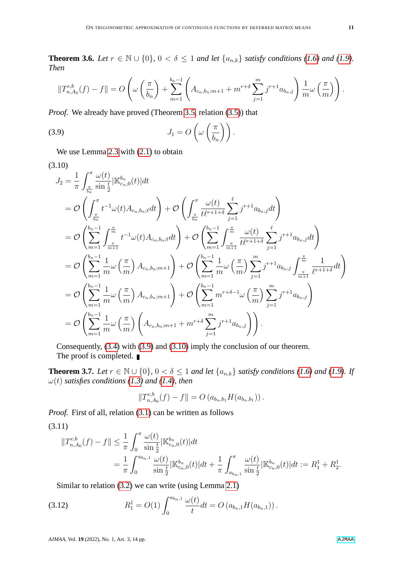**Theorem 3.6.** *Let*  $r \in \mathbb{N} \cup \{0\}$ ,  $0 < \delta \le 1$  *and let*  $\{a_{n,k}\}$  *satisfy conditions* [\(1.6\)](#page-2-3) *and* [\(1.9\)](#page-4-0)*. Then*

<span id="page-10-0"></span>
$$
||T_{n,A_0}^{c,b}(f) - f|| = O\left(\omega\left(\frac{\pi}{b_n}\right) + \sum_{m=1}^{b_n-1} \left(A_{c_n,b_n;m+1} + m^{r+\delta}\sum_{j=1}^m j^{r+1} a_{b_n,j}\right) \frac{1}{m} \omega\left(\frac{\pi}{m}\right)\right).
$$

*Proof.* We already have proved (Theorem [3.5,](#page-8-1) relation [\(3.5\)](#page-9-0)) that

(3.9) 
$$
J_1 = O\left(\omega\left(\frac{\pi}{b_n}\right)\right).
$$

We use Lemma [2.3](#page-5-4) with  $(2.1)$  to obtain

(3.10)

<span id="page-10-1"></span>
$$
J_{2} = \frac{1}{\pi} \int_{\frac{\pi}{b_{n}}}^{\pi} \frac{\omega(t)}{\sin \frac{t}{2}} |\mathbb{K}_{c_{n},0}^{b_{n}}(t)| dt
$$
  
\n
$$
= \mathcal{O}\left(\int_{\frac{\pi}{b_{n}}}^{\pi} t^{-1} \omega(t) A_{c_{n},b_{n};\ell} dt\right) + \mathcal{O}\left(\int_{\frac{\pi}{b_{n}}}^{\pi} \frac{\omega(t)}{t t^{\ell+1+\delta}} \sum_{j=1}^{\ell} j^{r+1} a_{b_{n},j} dt\right)
$$
  
\n
$$
= \mathcal{O}\left(\sum_{m=1}^{b_{n}-1} \int_{\frac{\pi}{m+1}}^{\frac{\pi}{m}} t^{-1} \omega(t) A_{c_{n},b_{n};\ell} dt\right) + \mathcal{O}\left(\sum_{m=1}^{b_{n}-1} \int_{\frac{\pi}{m+1}}^{\frac{\pi}{m}} \frac{\omega(t)}{t t^{\ell+1+\delta}} \sum_{j=1}^{\ell} j^{r+1} a_{b_{n},j} dt\right)
$$
  
\n
$$
= \mathcal{O}\left(\sum_{m=1}^{b_{n}-1} \frac{1}{m} \omega\left(\frac{\pi}{m}\right) A_{c_{n},b_{n};m+1}\right) + \mathcal{O}\left(\sum_{m=1}^{b_{n}-1} \frac{1}{m} \omega\left(\frac{\pi}{m}\right) \sum_{j=1}^{m} j^{r+1} a_{b_{n},j} \int_{\frac{\pi}{m}}^{\frac{\pi}{m}} \frac{1}{t^{\ell+1+\delta}} dt\right)
$$
  
\n
$$
= \mathcal{O}\left(\sum_{m=1}^{b_{n}-1} \frac{1}{m} \omega\left(\frac{\pi}{m}\right) A_{c_{n},b_{n};m+1}\right) + \mathcal{O}\left(\sum_{m=1}^{b_{n}-1} m^{r+\delta-1} \omega\left(\frac{\pi}{m}\right) \sum_{j=1}^{m} j^{r+1} a_{b_{n},j}\right)
$$
  
\n
$$
= \mathcal{O}\left(\sum_{m=1}^{b_{n}-1} \frac{1}{m} \omega\left(\frac{\pi}{m}\right) \left(A_{c_{n},b_{n};m+1} + m^{r+\delta} \sum_{j=1}^{m} j^{
$$

Consequently, [\(3.4\)](#page-8-0) with [\(3.9\)](#page-10-0) and [\(3.10\)](#page-10-1) imply the conclusion of our theorem. The proof is completed. ■

<span id="page-10-4"></span>**Theorem 3.7.** *Let*  $r \in \mathbb{N} \cup \{0\}$ ,  $0 < \delta \leq 1$  *and let*  $\{a_{n,k}\}$  *satisfy conditions* [\(1.6\)](#page-2-3) *and* [\(1.9\)](#page-4-0)*.* If  $\omega(t)$  *satisfies conditions* [\(1.3\)](#page-1-2) and [\(1.4\)](#page-2-0), then

<span id="page-10-3"></span>
$$
||T_{n,A_0}^{c,b}(f) - f|| = O(a_{b_n,b_1}H(a_{b_n,b_1}))
$$

*Proof.* First of all, relation [\(3.1\)](#page-7-2) can be written as follows

(3.11)

$$
||T_{n,A_0}^{c,b}(f) - f|| \leq \frac{1}{\pi} \int_0^{\pi} \frac{\omega(t)}{\sin \frac{t}{2}} |\mathbb{K}_{c_n,0}^{b_n}(t)| dt
$$
  
= 
$$
\frac{1}{\pi} \int_0^{a_{b_n,1}} \frac{\omega(t)}{\sin \frac{t}{2}} |\mathbb{K}_{c_n,0}^{b_n}(t)| dt + \frac{1}{\pi} \int_{a_{b_n,1}}^{\pi} \frac{\omega(t)}{\sin \frac{t}{2}} |\mathbb{K}_{c_n,0}^{b_n}(t)| dt := R_1^1 + R_2^1.
$$

<span id="page-10-2"></span>Similar to relation [\(3.2\)](#page-7-0) we can write (using Lemma [2.1\)](#page-5-3)

(3.12) 
$$
R_1^1 = O(1) \int_0^{a_{b_n,1}} \frac{\omega(t)}{t} dt = O(a_{b_n,1} H(a_{b_n,1})).
$$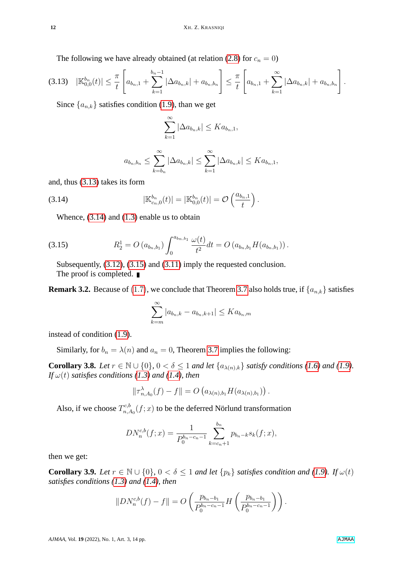The following we have already obtained (at relation [\(2.8\)](#page-6-3) for  $c_n = 0$ )

<span id="page-11-0"></span>
$$
(3.13) \quad |\mathbb{K}_{0,0}^{b_n}(t)| \leq \frac{\pi}{t} \left[ a_{b_n,1} + \sum_{k=1}^{b_n-1} |\Delta a_{b_n,k}| + a_{b_n,b_n} \right] \leq \frac{\pi}{t} \left[ a_{b_n,1} + \sum_{k=1}^{\infty} |\Delta a_{b_n,k}| + a_{b_n,b_n} \right].
$$

Since  $\{a_{n,k}\}\$  satisfies condition [\(1.9\)](#page-4-0), than we get

$$
\sum_{k=1}^{\infty} |\Delta a_{b_n,k}| \leq Ka_{b_n,1},
$$

<span id="page-11-1"></span>
$$
a_{b_n,b_n} \le \sum_{k=b_n}^{\infty} |\Delta a_{b_n,k}| \le \sum_{k=1}^{\infty} |\Delta a_{b_n,k}| \le Ka_{b_n,1},
$$

and, thus [\(3.13\)](#page-11-0) takes its form

(3.14) 
$$
|\mathbb{K}_{c_n,0}^{b_n}(t)| = |\mathbb{K}_{0,0}^{b_n}(t)| = \mathcal{O}\left(\frac{a_{b_n,1}}{t}\right).
$$

Whence, [\(3.14\)](#page-11-1) and [\(1.3\)](#page-1-2) enable us to obtain

(3.15) 
$$
R_2^1 = O(a_{b_n,b_1}) \int_0^{a_{b_n,b_1}} \frac{\omega(t)}{t^2} dt = O(a_{b_n,b_1} H(a_{b_n,b_1})).
$$

<span id="page-11-2"></span>Subsequently, [\(3.12\)](#page-10-2), [\(3.15\)](#page-11-2) and [\(3.11\)](#page-10-3) imply the requested conclusion. The proof is completed.

**Remark 3.2.** Because of [\(1](#page-4-3).7), we conclude that Theorem [3.7](#page-10-4) also holds true, if  $\{a_{n,k}\}$  satisfies

$$
\sum_{k=m}^{\infty} |a_{b_n,k} - a_{b_n,k+1}| \leq Ka_{b_n,m}
$$

instead of condition [\(1.9\)](#page-4-0).

Similarly, for  $b_n = \lambda(n)$  and  $a_n = 0$ , Theorem [3.7](#page-10-4) implies the following:

**Corollary 3.8.** *Let*  $r \in \mathbb{N} \cup \{0\}$ ,  $0 < \delta \le 1$  *and let*  $\{a_{\lambda(n),k}\}$  *satisfy conditions [\(1.6\)](#page-2-3) and [\(1.9\)](#page-4-0). If*  $\omega(t)$  *satisfies conditions [\(1.3\)](#page-1-2) and [\(1.4\)](#page-2-0), then* 

$$
\|\tau_{n,A_0}^{\lambda}(f)-f\|=O(a_{\lambda(n),b_1}H(a_{\lambda(n),b_1}))
$$

Also, if we choose  $T^{c,b}_{n,c}$  $n_{n,A_0}^{\alpha,\delta}(f;x)$  to be the deferred Nörlund transformation

$$
DN_n^{c,b}(f;x) = \frac{1}{P_0^{b_n-c_n-1}} \sum_{k=c_n+1}^{b_n} p_{b_n-k} s_k(f;x),
$$

then we get:

**Corollary 3.9.** *Let*  $r \in \mathbb{N} \cup \{0\}$ ,  $0 < \delta \leq 1$  *and let*  $\{p_k\}$  *satisfies condition and* [\(1.9\)](#page-4-0)*. If*  $\omega(t)$ *satisfies conditions [\(1.3\)](#page-1-2) and [\(1.4\)](#page-2-0), then*

$$
||DN_n^{c,b}(f) - f|| = O\left(\frac{p_{b_n-b_1}}{P_0^{b_n-c_n-1}}H\left(\frac{p_{b_n-b_1}}{P_0^{b_n-c_n-1}}\right)\right).
$$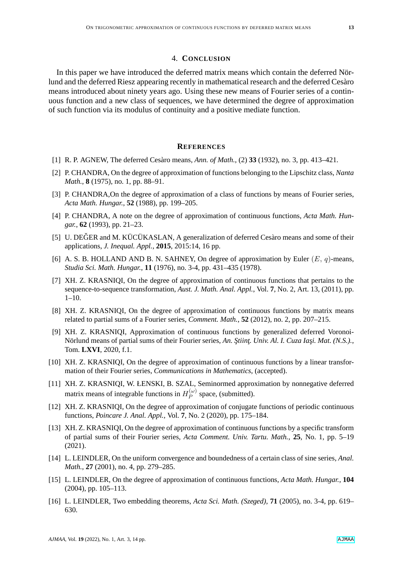#### 4. **CONCLUSION**

In this paper we have introduced the deferred matrix means which contain the deferred Nörlund and the deferred Riesz appearing recently in mathematical research and the deferred Cesàro means introduced about ninety years ago. Using these new means of Fourier series of a continuous function and a new class of sequences, we have determined the degree of approximation of such function via its modulus of continuity and a positive mediate function.

## **REFERENCES**

- <span id="page-12-12"></span>[1] R. P. AGNEW, The deferred Cesàro means, *Ann. of Math.*, (2) **33** (1932), no. 3, pp. 413–421.
- <span id="page-12-1"></span>[2] P. CHANDRA, On the degree of approximation of functions belonging to the Lipschitz class, *Nanta Math.*, **8** (1975), no. 1, pp. 88–91.
- <span id="page-12-10"></span>[3] P. CHANDRA, On the degree of approximation of a class of functions by means of Fourier series, *Acta Math. Hungar.*, **52** (1988), pp. 199–205.
- <span id="page-12-2"></span>[4] P. CHANDRA, A note on the degree of approximation of continuous functions, *Acta Math. Hungar.*, **62** (1993), pp. 21–23.
- <span id="page-12-11"></span>[5] U. DEGER and M. KÜCÜKASLAN, A generalization of deferred Cesàro means and some of their applications, *J. Inequal. Appl.*, **2015**, 2015:14, 16 pp.
- <span id="page-12-0"></span>[6] A. S. B. HOLLAND AND B. N. SAHNEY, On degree of approximation by Euler  $(E, q)$ -means, *Studia Sci. Math. Hungar.*, **11** (1976), no. 3-4, pp. 431–435 (1978).
- <span id="page-12-4"></span>[7] XH. Z. KRASNIQI, On the degree of approximation of continuous functions that pertains to the sequence-to-sequence transformation, *Aust. J. Math. Anal. Appl.*, Vol. **7**, No. 2, Art. 13, (2011), pp. 1–10.
- <span id="page-12-5"></span>[8] XH. Z. KRASNIQI, On the degree of approximation of continuous functions by matrix means related to partial sums of a Fourier series, *Comment. Math.*, **52** (2012), no. 2, pp. 207–215.
- <span id="page-12-6"></span>[9] XH. Z. KRASNIQI, Approximation of continuous functions by generalized deferred Voronoi-Nörlund means of partial sums of their Fourier series, *An. Ştiinț. Univ. Al. I. Cuza Iaşi. Mat.* (N.S.)., Tom. **LXVI**, 2020, f.1.
- <span id="page-12-7"></span>[10] XH. Z. KRASNIQI, On the degree of approximation of continuous functions by a linear transformation of their Fourier series, *Communications in Mathematics*, (accepted).
- [11] XH. Z. KRASNIQI, W. ŁENSKI, B. SZAL, Seminormed approximation by nonnegative deferred matrix means of integrable functions in  $H_P^{(\omega)}$  $P^{(\omega)}$  space, (submitted).
- <span id="page-12-8"></span>[12] XH. Z. KRASNIQI, On the degree of approximation of conjugate functions of periodic continuous functions, *Poincare J. Anal. Appl.*, Vol. **7**, No. 2 (2020), pp. 175–184.
- <span id="page-12-9"></span>[13] XH. Z. KRASNIQI, On the degree of approximation of continuous functions by a specific transform of partial sums of their Fourier series, *Acta Comment. Univ. Tartu. Math.*, **25**, No. 1, pp. 5–19 (2021).
- <span id="page-12-13"></span>[14] L. LEINDLER, On the uniform convergence and boundedness of a certain class of sine series, *Anal. Math.*, **27** (2001), no. 4, pp. 279–285.
- <span id="page-12-3"></span>[15] L. LEINDLER, On the degree of approximation of continuous functions, *Acta Math. Hungar.*, **104** (2004), pp. 105–113.
- <span id="page-12-14"></span>[16] L. LEINDLER, Two embedding theorems, *Acta Sci. Math. (Szeged)*, **71** (2005), no. 3-4, pp. 619– 630.